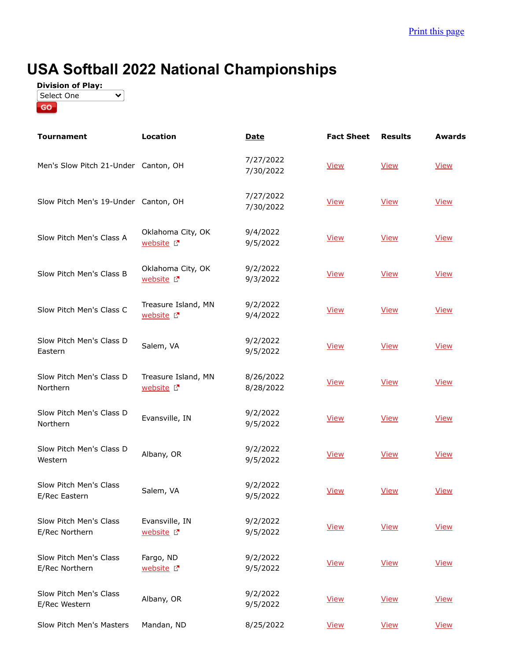## **USA Softball 2022 National Championships**



| <b>Tournament</b>                        | <b>Location</b>                                | <b>Date</b>            | <b>Fact Sheet</b> | <b>Results</b> | <b>Awards</b> |
|------------------------------------------|------------------------------------------------|------------------------|-------------------|----------------|---------------|
| Men's Slow Pitch 21-Under Canton, OH     |                                                | 7/27/2022<br>7/30/2022 | <b>View</b>       | <b>View</b>    | <b>View</b>   |
| Slow Pitch Men's 19-Under Canton, OH     |                                                | 7/27/2022<br>7/30/2022 | <b>View</b>       | <b>View</b>    | <b>View</b>   |
| Slow Pitch Men's Class A                 | Oklahoma City, OK<br>website <sup>[7]</sup>    | 9/4/2022<br>9/5/2022   | <b>View</b>       | <b>View</b>    | <b>View</b>   |
| Slow Pitch Men's Class B                 | Oklahoma City, OK<br>website <sup>[7]</sup>    | 9/2/2022<br>9/3/2022   | <b>View</b>       | <b>View</b>    | <b>View</b>   |
| Slow Pitch Men's Class C                 | Treasure Island, MN<br>website <sup>[2</sup> ] | 9/2/2022<br>9/4/2022   | <b>View</b>       | <b>View</b>    | <b>View</b>   |
| Slow Pitch Men's Class D<br>Eastern      | Salem, VA                                      | 9/2/2022<br>9/5/2022   | <b>View</b>       | <b>View</b>    | <b>View</b>   |
| Slow Pitch Men's Class D<br>Northern     | Treasure Island, MN<br>website <sup>[2]</sup>  | 8/26/2022<br>8/28/2022 | <b>View</b>       | <b>View</b>    | <b>View</b>   |
| Slow Pitch Men's Class D<br>Northern     | Evansville, IN                                 | 9/2/2022<br>9/5/2022   | <b>View</b>       | <b>View</b>    | <b>View</b>   |
| Slow Pitch Men's Class D<br>Western      | Albany, OR                                     | 9/2/2022<br>9/5/2022   | <b>View</b>       | <b>View</b>    | <b>View</b>   |
| Slow Pitch Men's Class<br>E/Rec Eastern  | Salem, VA                                      | 9/2/2022<br>9/5/2022   | <b>View</b>       | <b>View</b>    | <b>View</b>   |
| Slow Pitch Men's Class<br>E/Rec Northern | Evansville, IN<br>website <sup>[2]</sup>       | 9/2/2022<br>9/5/2022   | <b>View</b>       | <b>View</b>    | View          |
| Slow Pitch Men's Class<br>E/Rec Northern | Fargo, ND<br>website <sup>[7]</sup>            | 9/2/2022<br>9/5/2022   | <b>View</b>       | <b>View</b>    | View          |
| Slow Pitch Men's Class<br>E/Rec Western  | Albany, OR                                     | 9/2/2022<br>9/5/2022   | <b>View</b>       | <b>View</b>    | <b>View</b>   |
| Slow Pitch Men's Masters                 | Mandan, ND                                     | 8/25/2022              | <b>View</b>       | <b>View</b>    | <b>View</b>   |